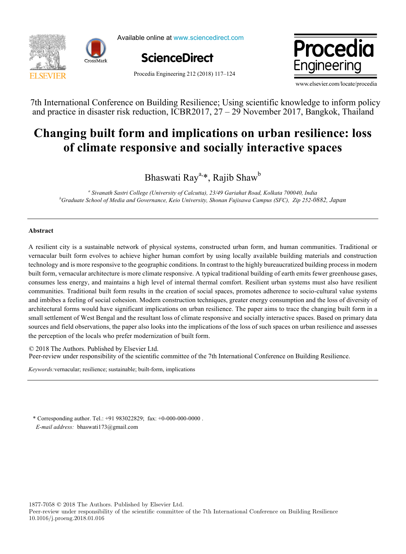



Available online at www.sciencedirect.com





Procedia Engineering 212 (2018) 117–124

www.elsevier.com/locate/procedia

7th International Conference on Building Resilience; Using scientific knowledge to inform policy 7th International Conference on Building Resilience; Using scientific knowledge to inform policy and practice in disaster risk reduction, ICBR2017, 27 – 29 November 2017, Bangkok, Thailand and practice in disaster risk reduction, ICBR2017, 27 – 29 November 2017, Bangkok, Thailand

# **Changing built form and implications on urban resilience: loss Changing built form and implications on urban resilience: loss of climate responsive and socially interactive spaces of climate responsive and socially interactive spaces**

Bhaswati Ray<sup>a,\*</sup>, Rajib Shaw<sup>b</sup>

*<sup>a</sup> Sivanath Sastri College (University of Calcutta), 23/49 Gariahat Road, Kolkata 700040, India <sup>a</sup> Sivanath Sastri College (University of Calcutta), 23/49 Gariahat Road, Kolkata 700040, India* Sivanain Sasiri Conege (Oniversity of Catcaita), 29/49 Gartanai Road, Roikata 700040, India<br>Graduate School of Media and Governance, Keio University, Shonan Fujisawa Campus (SFC), Zip 252-0882, Japan "

# **Abstract Abstract**

A resilient city is a sustainable network of physical systems, constructed urban form, and human communities. Traditional or vernacular built form evolves to achieve higher human comfort by using locally available building materials and construction technology and is more responsive to the geographic conditions. In contrast to the highly bureaucratized building process in modern built form, vernacular architecture is more climate responsive. A typical traditional building of earth emits fewer greenhouse gases, consumes less energy, and maintains a high level of internal thermal comfort. Resilient urban systems must also have resilient communities. Traditional built form results in the creation of social spaces, promotes adherence to socio-cultural value systems and imbibes a feeling of social cohesion. Modern construction techniques, greater energy consumption and the loss of diversity of architectural forms would have significant implications on urban resilience. The paper aims to trace the changing built form in a small settlement of West Bengal and the resultant loss of climate responsive and socially interactive spaces. Based on primary data sources and field observations, the paper also looks into the implications of the loss of such spaces on urban resilience and assesses the perception of the locals who prefer modernization of built form. the perception of the locals who prefer modernization of built form.

© 2018 The Authors. Published by Elsevier Ltd.

© 2018 The Authors. Published by Elsevier Ltd.<br>Peer-review under responsibility of the scientific committee of the 7th International Conference on Building Resilience.

*Keywords:*vernacular; resilience; sustainable; built-form, implications *Keywords:*vernacular; resilience; sustainable; built-form, implications

\* Corresponding author. Tel.: +91 983022829; fax: +0-000-000-0000 . *E-mail address:* bhaswati173@gmail.com  *E-mail address:* bhaswati173@gmail.com

1877-7058 © 2018 The Authors. Published by Elsevier Ltd.

Peer-review under responsibility of the scientific committee of the 7th International Conference on Building Resilience 10.1016/j.proeng.2018.01.016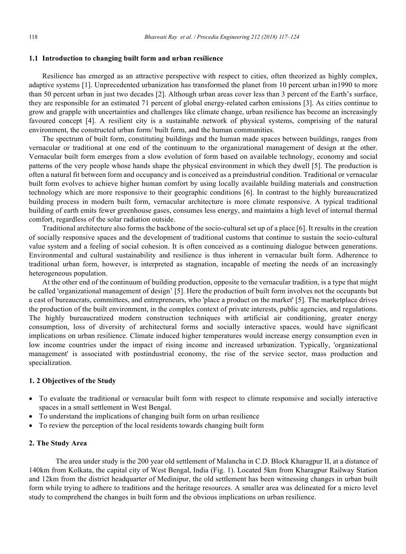#### **1.1 Introduction to changing built form and urban resilience**

Resilience has emerged as an attractive perspective with respect to cities, often theorized as highly complex, adaptive systems [1]. Unprecedented urbanization has transformed the planet from 10 percent urban in1990 to more than 50 percent urban in just two decades [2]. Although urban areas cover less than 3 percent of the Earth's surface, they are responsible for an estimated 71 percent of global energy-related carbon emissions [3]. As cities continue to grow and grapple with uncertainties and challenges like climate change, urban resilience has become an increasingly favoured concept [4]. A resilient city is a sustainable network of physical systems, comprising of the natural environment, the constructed urban form/ built form, and the human communities.

The spectrum of built form, constituting buildings and the human made spaces between buildings, ranges from vernacular or traditional at one end of the continuum to the organizational management of design at the other. Vernacular built form emerges from a slow evolution of form based on available technology, economy and social patterns of the very people whose hands shape the physical environment in which they dwell [5]. The production is often a natural fit between form and occupancy and is conceived as a preindustrial condition. Traditional or vernacular built form evolves to achieve higher human comfort by using locally available building materials and construction technology which are more responsive to their geographic conditions [6]. In contrast to the highly bureaucratized building process in modern built form, vernacular architecture is more climate responsive. A typical traditional building of earth emits fewer greenhouse gases, consumes less energy, and maintains a high level of internal thermal comfort, regardless of the solar radiation outside.

Traditional architecture also forms the backbone of the socio-cultural set up of a place [6]. It results in the creation of socially responsive spaces and the development of traditional customs that continue to sustain the socio-cultural value system and a feeling of social cohesion. It is often conceived as a continuing dialogue between generations. Environmental and cultural sustainability and resilience is thus inherent in vernacular built form. Adherence to traditional urban form, however, is interpreted as stagnation, incapable of meeting the needs of an increasingly heterogeneous population.

At the other end of the continuum of building production, opposite to the vernacular tradition, is a type that might be called 'organizational management of design' [5]. Here the production of built form involves not the occupants but a cast of bureaucrats, committees, and entrepreneurs, who 'place a product on the market' [5]. The marketplace drives the production of the built environment, in the complex context of private interests, public agencies, and regulations. The highly bureaucratized modern construction techniques with artificial air conditioning, greater energy consumption, loss of diversity of architectural forms and socially interactive spaces, would have significant implications on urban resilience. Climate induced higher temperatures would increase energy consumption even in low income countries under the impact of rising income and increased urbanization. Typically, 'organizational management' is associated with postindustrial economy, the rise of the service sector, mass production and specialization.

## **1. 2 Objectives of the Study**

- To evaluate the traditional or vernacular built form with respect to climate responsive and socially interactive spaces in a small settlement in West Bengal.
- To understand the implications of changing built form on urban resilience
- To review the perception of the local residents towards changing built form

#### **2. The Study Area**

The area under study is the 200 year old settlement of Malancha in C.D. Block Kharagpur II, at a distance of 140km from Kolkata, the capital city of West Bengal, India (Fig. 1). Located 5km from Kharagpur Railway Station and 12km from the district headquarter of Medinipur, the old settlement has been witnessing changes in urban built form while trying to adhere to traditions and the heritage resources. A smaller area was delineated for a micro level study to comprehend the changes in built form and the obvious implications on urban resilience.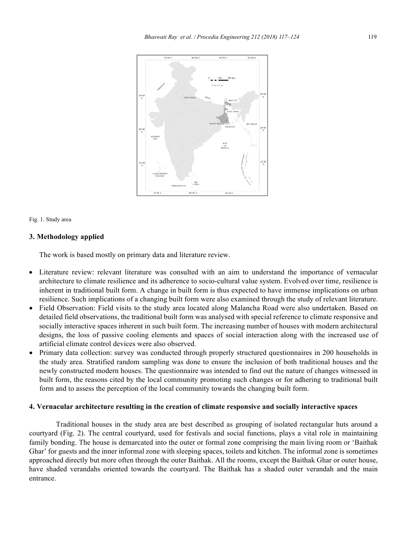

#### Fig. 1. Study area

## **3. Methodology applied**

The work is based mostly on primary data and literature review.

- Literature review: relevant literature was consulted with an aim to understand the importance of vernacular architecture to climate resilience and its adherence to socio-cultural value system. Evolved over time, resilience is inherent in traditional built form. A change in built form is thus expected to have immense implications on urban resilience. Such implications of a changing built form were also examined through the study of relevant literature.
- Field Observation: Field visits to the study area located along Malancha Road were also undertaken. Based on detailed field observations, the traditional built form was analysed with special reference to climate responsive and socially interactive spaces inherent in such built form. The increasing number of houses with modern architectural designs, the loss of passive cooling elements and spaces of social interaction along with the increased use of artificial climate control devices were also observed.
- Primary data collection: survey was conducted through properly structured questionnaires in 200 households in the study area. Stratified random sampling was done to ensure the inclusion of both traditional houses and the newly constructed modern houses. The questionnaire was intended to find out the nature of changes witnessed in built form, the reasons cited by the local community promoting such changes or for adhering to traditional built form and to assess the perception of the local community towards the changing built form.

## **4. Vernacular architecture resulting in the creation of climate responsive and socially interactive spaces**

Traditional houses in the study area are best described as grouping of isolated rectangular huts around a courtyard (Fig. 2). The central courtyard, used for festivals and social functions, plays a vital role in maintaining family bonding. The house is demarcated into the outer or formal zone comprising the main living room or 'Baithak Ghar' for guests and the inner informal zone with sleeping spaces, toilets and kitchen. The informal zone is sometimes approached directly but more often through the outer Baithak. All the rooms, except the Baithak Ghar or outer house, have shaded verandahs oriented towards the courtyard. The Baithak has a shaded outer verandah and the main entrance.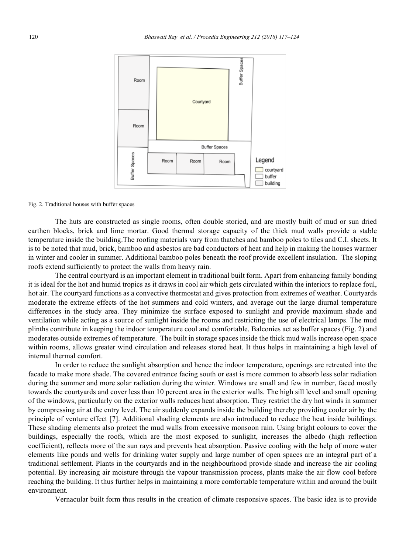

Fig. 2. Traditional houses with buffer spaces

The huts are constructed as single rooms, often double storied, and are mostly built of mud or sun dried earthen blocks, brick and lime mortar. Good thermal storage capacity of the thick mud walls provide a stable temperature inside the building.The roofing materials vary from thatches and bamboo poles to tiles and C.I. sheets. It is to be noted that mud, brick, bamboo and asbestos are bad conductors of heat and help in making the houses warmer in winter and cooler in summer. Additional bamboo poles beneath the roof provide excellent insulation. The sloping roofs extend sufficiently to protect the walls from heavy rain.

The central courtyard is an important element in traditional built form. Apart from enhancing family bonding it is ideal for the hot and humid tropics as it draws in cool air which gets circulated within the interiors to replace foul, hot air. The courtyard functions as a convective thermostat and gives protection from extremes of weather. Courtyards moderate the extreme effects of the hot summers and cold winters, and average out the large diurnal temperature differences in the study area. They minimize the surface exposed to sunlight and provide maximum shade and ventilation while acting as a source of sunlight inside the rooms and restricting the use of electrical lamps. The mud plinths contribute in keeping the indoor temperature cool and comfortable. Balconies act as buffer spaces (Fig. 2) and moderates outside extremes of temperature. The built in storage spaces inside the thick mud walls increase open space within rooms, allows greater wind circulation and releases stored heat. It thus helps in maintaining a high level of internal thermal comfort.

In order to reduce the sunlight absorption and hence the indoor temperature, openings are retreated into the facade to make more shade. The covered entrance facing south or east is more common to absorb less solar radiation during the summer and more solar radiation during the winter. Windows are small and few in number, faced mostly towards the courtyards and cover less than 10 percent area in the exterior walls. The high sill level and small opening of the windows, particularly on the exterior walls reduces heat absorption. They restrict the dry hot winds in summer by compressing air at the entry level. The air suddenly expands inside the building thereby providing cooler air by the principle of venture effect [7]. Additional shading elements are also introduced to reduce the heat inside buildings. These shading elements also protect the mud walls from excessive monsoon rain. Using bright colours to cover the buildings, especially the roofs, which are the most exposed to sunlight, increases the albedo (high reflection coefficient), reflects more of the sun rays and prevents heat absorption. Passive cooling with the help of more water elements like ponds and wells for drinking water supply and large number of open spaces are an integral part of a traditional settlement. Plants in the courtyards and in the neighbourhood provide shade and increase the air cooling potential. By increasing air moisture through the vapour transmission process, plants make the air flow cool before reaching the building. It thus further helps in maintaining a more comfortable temperature within and around the built environment.

Vernacular built form thus results in the creation of climate responsive spaces. The basic idea is to provide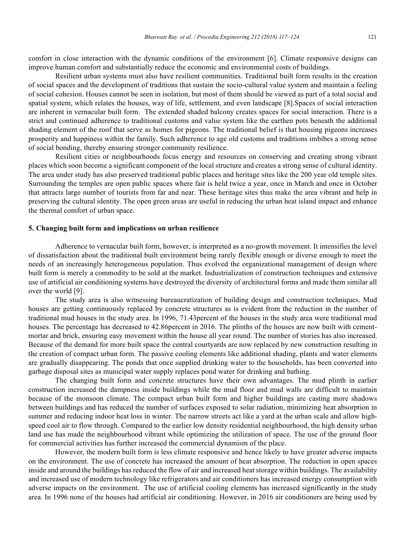comfort in close interaction with the dynamic conditions of the environment [6]. Climate responsive designs can improve human comfort and substantially reduce the economic and environmental costs of buildings.

Resilient urban systems must also have resilient communities. Traditional built form results in the creation of social spaces and the development of traditions that sustain the socio-cultural value system and maintain a feeling of social cohesion. Houses cannot be seen in isolation, but most of them should be viewed as part of a total social and spatial system, which relates the houses, way of life, settlement, and even landscape [8].Spaces of social interaction are inherent in vernacular built form. The extended shaded balcony creates spaces for social interaction. There is a strict and continued adherence to traditional customs and value system like the earthen pots beneath the additional shading element of the roof that serve as homes for pigeons. The traditional belief is that housing pigeons increases prosperity and happiness within the family. Such adherence to age old customs and traditions imbibes a strong sense of social bonding, thereby ensuring stronger community resilience.

Resilient cities or neighbourhoods focus energy and resources on conserving and creating strong vibrant places which soon become a significant component of the local structure and creates a strong sense of cultural identity. The area under study has also preserved traditional public places and heritage sites like the 200 year old temple sites. Surrounding the temples are open public spaces where fair is held twice a year, once in March and once in October that attracts large number of tourists from far and near. These heritage sites thus make the area vibrant and help in preserving the cultural identity. The open green areas are useful in reducing the urban heat island impact and enhance the thermal comfort of urban space.

#### **5. Changing built form and implications on urban resilience**

Adherence to vernacular built form, however, is interpreted as a no-growth movement. It intensifies the level of dissatisfaction about the traditional built environment being rarely flexible enough or diverse enough to meet the needs of an increasingly heterogeneous population. Thus evolved the organizational management of design where built form is merely a commodity to be sold at the market. Industrialization of construction techniques and extensive use of artificial air conditioning systems have destroyed the diversity of architectural forms and made them similar all over the world [9].

The study area is also witnessing bureaucratization of building design and construction techniques. Mud houses are getting continuously replaced by concrete structures as is evident from the reduction in the number of traditional mud houses in the study area. In 1996, 71.43percent of the houses in the study area were traditional mud houses. The percentage has decreased to 42.86 percent in 2016. The plinths of the houses are now built with cementmortar and brick, ensuring easy movement within the house all year round. The number of stories has also increased. Because of the demand for more built space the central courtyards are now replaced by new construction resulting in the creation of compact urban form. The passive cooling elements like additional shading, plants and water elements are gradually disappearing. The ponds that once supplied drinking water to the households, has been converted into garbage disposal sites as municipal water supply replaces pond water for drinking and bathing.

The changing built form and concrete structures have their own advantages. The mud plinth in earlier construction increased the dampness inside buildings while the mud floor and mud walls are difficult to maintain because of the monsoon climate. The compact urban built form and higher buildings are casting more shadows between buildings and has reduced the number of surfaces exposed to solar radiation, minimizing heat absorption in summer and reducing indoor heat loss in winter. The narrow streets act like a yard at the urban scale and allow highspeed cool air to flow through. Compared to the earlier low density residential neighbourhood, the high density urban land use has made the neighbourhood vibrant while optimizing the utilization of space. The use of the ground floor for commercial activities has further increased the commercial dynamism of the place.

However, the modern built form is less climate responsive and hence likely to have greater adverse impacts on the environment. The use of concrete has increased the amount of heat absorption. The reduction in open spaces inside and around the buildings has reduced the flow of air and increased heat storage within buildings. The availability and increased use of modern technology like refrigerators and air conditioners has increased energy consumption with adverse impacts on the environment. The use of artificial cooling elements has increased significantly in the study area. In 1996 none of the houses had artificial air conditioning. However, in 2016 air conditioners are being used by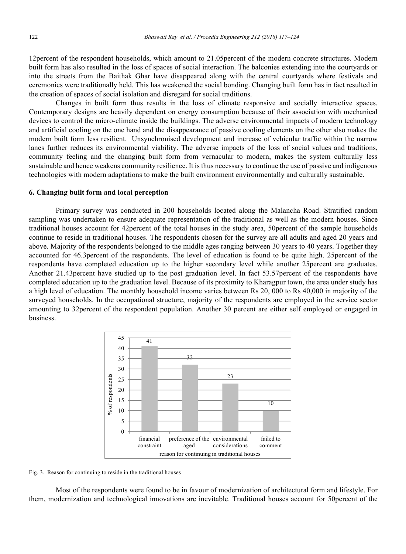12percent of the respondent households, which amount to 21.05percent of the modern concrete structures. Modern built form has also resulted in the loss of spaces of social interaction. The balconies extending into the courtyards or into the streets from the Baithak Ghar have disappeared along with the central courtyards where festivals and ceremonies were traditionally held. This has weakened the social bonding. Changing built form has in fact resulted in the creation of spaces of social isolation and disregard for social traditions.

Changes in built form thus results in the loss of climate responsive and socially interactive spaces. Contemporary designs are heavily dependent on energy consumption because of their association with mechanical devices to control the micro-climate inside the buildings. The adverse environmental impacts of modern technology and artificial cooling on the one hand and the disappearance of passive cooling elements on the other also makes the modern built form less resilient. Unsynchronised development and increase of vehicular traffic within the narrow lanes further reduces its environmental viability. The adverse impacts of the loss of social values and traditions, community feeling and the changing built form from vernacular to modern, makes the system culturally less sustainable and hence weakens community resilience. It is thus necessary to continue the use of passive and indigenous technologies with modern adaptations to make the built environment environmentally and culturally sustainable.

#### **6. Changing built form and local perception**

Primary survey was conducted in 200 households located along the Malancha Road. Stratified random sampling was undertaken to ensure adequate representation of the traditional as well as the modern houses. Since traditional houses account for 42percent of the total houses in the study area, 50percent of the sample households continue to reside in traditional houses. The respondents chosen for the survey are all adults and aged 20 years and above. Majority of the respondents belonged to the middle ages ranging between 30 years to 40 years. Together they accounted for 46.3percent of the respondents. The level of education is found to be quite high. 25percent of the respondents have completed education up to the higher secondary level while another 25percent are graduates. Another 21.43percent have studied up to the post graduation level. In fact 53.57percent of the respondents have completed education up to the graduation level. Because of its proximity to Kharagpur town, the area under study has a high level of education. The monthly household income varies between Rs 20, 000 to Rs 40,000 in majority of the surveyed households. In the occupational structure, majority of the respondents are employed in the service sector amounting to 32percent of the respondent population. Another 30 percent are either self employed or engaged in business.



Fig. 3. Reason for continuing to reside in the traditional houses

Most of the respondents were found to be in favour of modernization of architectural form and lifestyle. For them, modernization and technological innovations are inevitable. Traditional houses account for 50percent of the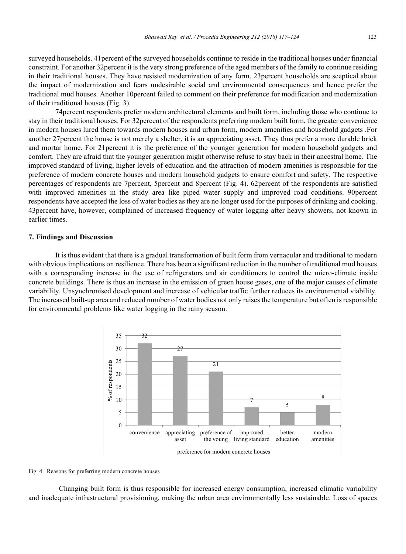surveyed households. 41percent of the surveyed households continue to reside in the traditional houses under financial constraint. For another 32percent it is the very strong preference of the aged members of the family to continue residing in their traditional houses. They have resisted modernization of any form. 23percent households are sceptical about the impact of modernization and fears undesirable social and environmental consequences and hence prefer the traditional mud houses. Another 10percent failed to comment on their preference for modification and modernization of their traditional houses (Fig. 3).

74percent respondents prefer modern architectural elements and built form, including those who continue to stay in their traditional houses. For 32percent of the respondents preferring modern built form, the greater convenience in modern houses lured them towards modern houses and urban form, modern amenities and household gadgets .For another 27percent the house is not merely a shelter, it is an appreciating asset. They thus prefer a more durable brick and mortar home. For 21percent it is the preference of the younger generation for modern household gadgets and comfort. They are afraid that the younger generation might otherwise refuse to stay back in their ancestral home. The improved standard of living, higher levels of education and the attraction of modern amenities is responsible for the preference of modern concrete houses and modern household gadgets to ensure comfort and safety. The respective percentages of respondents are 7percent, 5percent and 8percent (Fig. 4). 62percent of the respondents are satisfied with improved amenities in the study area like piped water supply and improved road conditions. 90percent respondents have accepted the loss of water bodies as they are no longer used for the purposes of drinking and cooking. 43percent have, however, complained of increased frequency of water logging after heavy showers, not known in earlier times.

# **7. Findings and Discussion**

It is thus evident that there is a gradual transformation of built form from vernacular and traditional to modern with obvious implications on resilience. There has been a significant reduction in the number of traditional mud houses with a corresponding increase in the use of refrigerators and air conditioners to control the micro-climate inside concrete buildings. There is thus an increase in the emission of green house gases, one of the major causes of climate variability. Unsynchronised development and increase of vehicular traffic further reduces its environmental viability. The increased built-up area and reduced number of water bodies not only raises the temperature but often is responsible for environmental problems like water logging in the rainy season.



#### Fig. 4. Reasons for preferring modern concrete houses

 Changing built form is thus responsible for increased energy consumption, increased climatic variability and inadequate infrastructural provisioning, making the urban area environmentally less sustainable. Loss of spaces